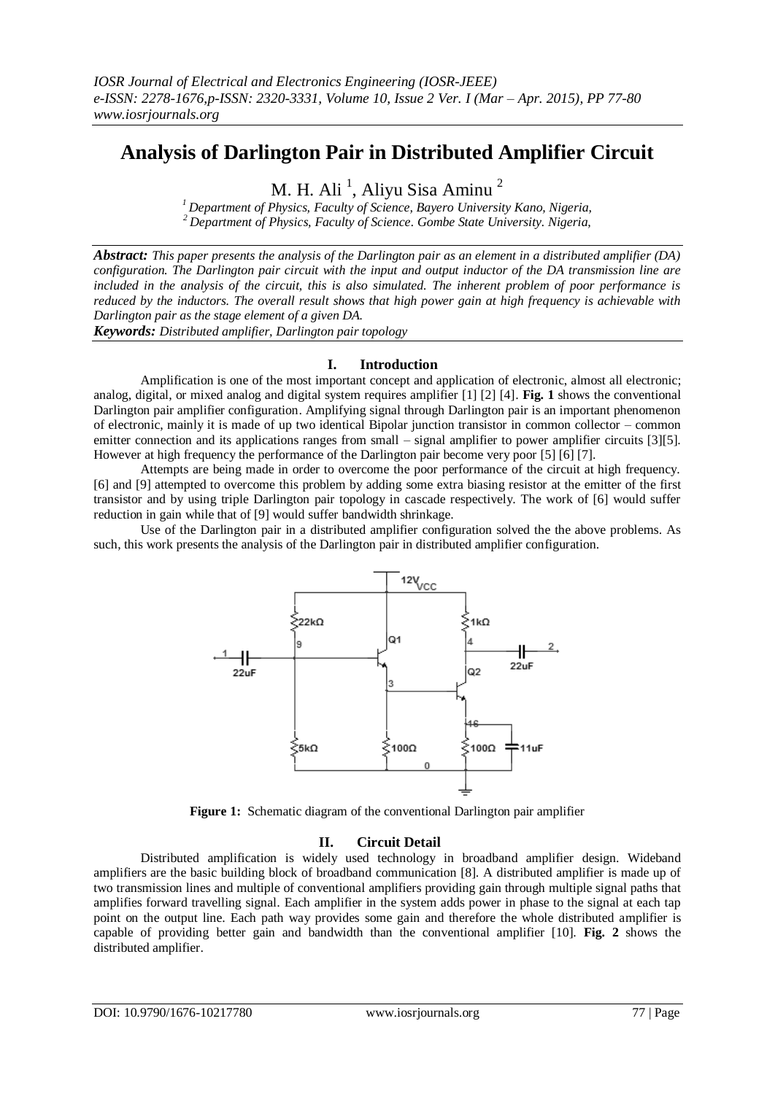# **Analysis of Darlington Pair in Distributed Amplifier Circuit**

M. H. Ali <sup>1</sup>, Aliyu Sisa Aminu <sup>2</sup>

*<sup>1</sup> Department of Physics, Faculty of Science, Bayero University Kano, Nigeria, <sup>2</sup>Department of Physics, Faculty of Science. Gombe State University. Nigeria,*

*Abstract: This paper presents the analysis of the Darlington pair as an element in a distributed amplifier (DA) configuration. The Darlington pair circuit with the input and output inductor of the DA transmission line are included in the analysis of the circuit, this is also simulated. The inherent problem of poor performance is reduced by the inductors. The overall result shows that high power gain at high frequency is achievable with Darlington pair as the stage element of a given DA.* 

*Keywords: Distributed amplifier, Darlington pair topology*

## **I. Introduction**

Amplification is one of the most important concept and application of electronic, almost all electronic; analog, digital, or mixed analog and digital system requires amplifier [1] [2] [4]. **Fig. 1** shows the conventional Darlington pair amplifier configuration. Amplifying signal through Darlington pair is an important phenomenon of electronic, mainly it is made of up two identical Bipolar junction transistor in common collector – common emitter connection and its applications ranges from small – signal amplifier to power amplifier circuits [3][5]. However at high frequency the performance of the Darlington pair become very poor [5] [6] [7].

Attempts are being made in order to overcome the poor performance of the circuit at high frequency. [6] and [9] attempted to overcome this problem by adding some extra biasing resistor at the emitter of the first transistor and by using triple Darlington pair topology in cascade respectively. The work of [6] would suffer reduction in gain while that of [9] would suffer bandwidth shrinkage.

Use of the Darlington pair in a distributed amplifier configuration solved the the above problems. As such, this work presents the analysis of the Darlington pair in distributed amplifier configuration.



**Figure 1:** Schematic diagram of the conventional Darlington pair amplifier

## **II. Circuit Detail**

Distributed amplification is widely used technology in broadband amplifier design. Wideband amplifiers are the basic building block of broadband communication [8]. A distributed amplifier is made up of two transmission lines and multiple of conventional amplifiers providing gain through multiple signal paths that amplifies forward travelling signal. Each amplifier in the system adds power in phase to the signal at each tap point on the output line. Each path way provides some gain and therefore the whole distributed amplifier is capable of providing better gain and bandwidth than the conventional amplifier [10]. **Fig. 2** shows the distributed amplifier.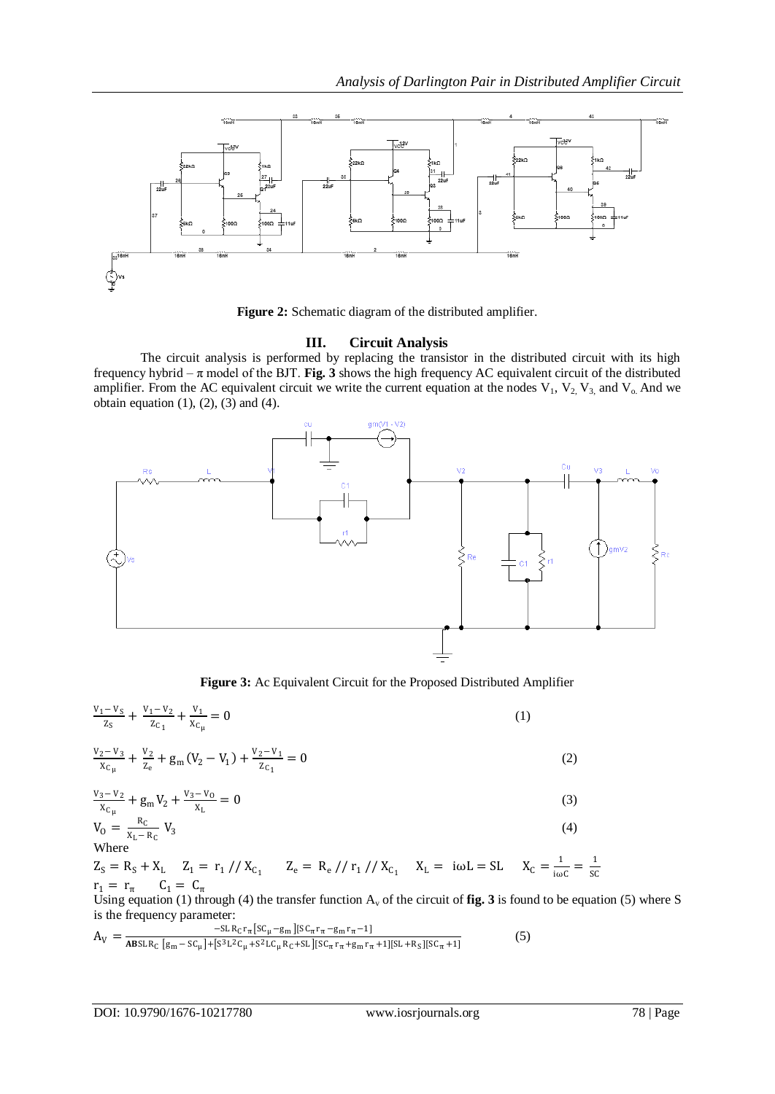

**Figure 2:** Schematic diagram of the distributed amplifier.

# **III. Circuit Analysis**

The circuit analysis is performed by replacing the transistor in the distributed circuit with its high frequency hybrid  $-\pi$  model of the BJT. **Fig. 3** shows the high frequency AC equivalent circuit of the distributed amplifier. From the AC equivalent circuit we write the current equation at the nodes  $V_1$ ,  $V_2$ ,  $V_3$ , and  $V_0$ . And we obtain equation  $(1)$ ,  $(2)$ ,  $(3)$  and  $(4)$ .



**Figure 3:** Ac Equivalent Circuit for the Proposed Distributed Amplifier

$$
\frac{v_1 - v_S}{z_S} + \frac{v_1 - v_2}{z_{C_1}} + \frac{v_1}{x_{C_\mu}} = 0
$$
\n(1)

$$
\frac{v_2 - v_3}{x_{c_\mu}} + \frac{v_2}{z_e} + g_m (V_2 - V_1) + \frac{v_2 - v_1}{z_{c_1}} = 0
$$
\n(2)

$$
\frac{v_3 - v_2}{x_{C_\mu}} + g_m V_2 + \frac{v_3 - v_0}{x_L} = 0
$$
\n(3)

$$
V_0 = \frac{R_C}{X_L - R_C} V_3
$$
 (4)  
Where

 $Z_S = R_S + X_L$   $Z_1 = r_1 / / X_{C_1}$   $Z_e = R_e / / r_1 / / X_{C_1}$   $X_L = i\omega L = SL$   $X_C = \frac{1}{i\omega L}$  $\frac{1}{\log C} = \frac{1}{\log C}$  $r_1 = r_{\pi}$   $C_1 = C_{\pi}$   $C_2 = C_{\pi}$ 

Using equation (1) through (4) the transfer function  $A_v$  of the circuit of **fig. 3** is found to be equation (5) where S is the frequency parameter:

$$
A_V = \frac{-SLR_{C}r_{\pi}[SC_{\mu}-g_{m}][SC_{\pi}r_{\pi}-g_{m}r_{\pi}-1]}{ABSLR_{C}[g_{m}-SC_{\mu}]+[S^{3}L^{2}C_{\mu}+S^{2}LC_{\mu}R_{C}+SL][SC_{\pi}r_{\pi}+g_{m}r_{\pi}+1][SL+R_{S}][SC_{\pi}+1]}}
$$
(5)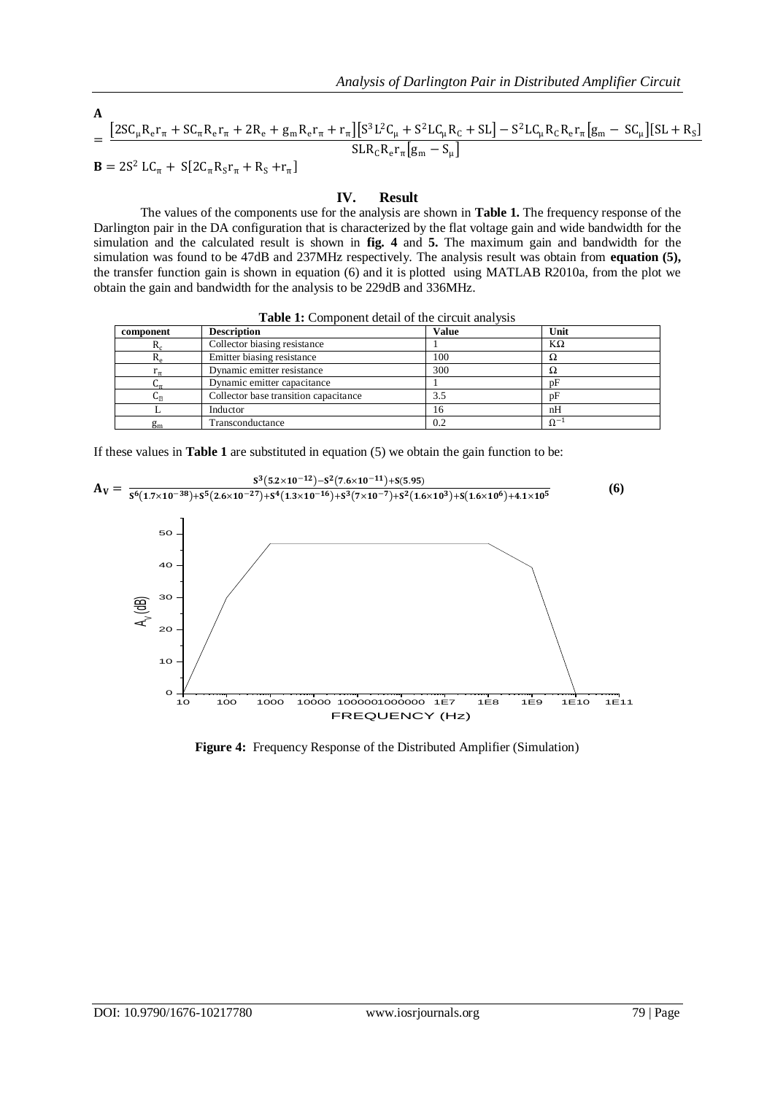$$
\begin{aligned}\n\mathbf{A} &= \frac{\left[2SC_{\mu}R_{e}r_{\pi} + SC_{\pi}R_{e}r_{\pi} + 2R_{e} + g_{m}R_{e}r_{\pi} + r_{\pi}\right]\left[S^{3}L^{2}C_{\mu} + S^{2}LC_{\mu}R_{C} + SL\right] - S^{2}LC_{\mu}R_{C}R_{e}r_{\pi}\left[g_{m} - SC_{\mu}\right]\left[SL + R_{S}\right]}{SLR_{C}R_{e}r_{\pi}\left[g_{m} - S_{\mu}\right]}\n\end{aligned}
$$
\n
$$
\mathbf{B} = 2S^{2}LC_{\pi} + S[2C_{\pi}R_{S}r_{\pi} + R_{S} + r_{\pi}]
$$

### **IV. Result**

The values of the components use for the analysis are shown in **Table 1.** The frequency response of the Darlington pair in the DA configuration that is characterized by the flat voltage gain and wide bandwidth for the simulation and the calculated result is shown in **fig. 4** and **5.** The maximum gain and bandwidth for the simulation was found to be 47dB and 237MHz respectively. The analysis result was obtain from **equation (5),**  the transfer function gain is shown in equation (6) and it is plotted using MATLAB R2010a, from the plot we obtain the gain and bandwidth for the analysis to be 229dB and 336MHz.

|  | Table 1: Component detail of the circuit analysis |  |  |  |  |  |
|--|---------------------------------------------------|--|--|--|--|--|
|--|---------------------------------------------------|--|--|--|--|--|

| component      | <b>Description</b>                    | <b>Value</b> | Unit          |
|----------------|---------------------------------------|--------------|---------------|
| $\mathbf{v}_c$ | Collector biasing resistance          |              | $K\Omega$     |
| K <sub>e</sub> | Emitter biasing resistance            | 100          | Ω             |
|                | Dynamic emitter resistance            | 300          | 77            |
|                | Dynamic emitter capacitance           |              | pF            |
| տո             | Collector base transition capacitance | 3.5          | pF            |
|                | Inductor                              | 16           | nH            |
| g <sub>m</sub> | Transconductance                      | 0.2          | $\Omega^{-1}$ |

If these values in **Table 1** are substituted in equation (5) we obtain the gain function to be:

$$
A_{V} = \frac{s^{3}(5.2 \times 10^{-12}) - s^{2}(7.6 \times 10^{-11}) + s(5.95)}{s^{6}(1.7 \times 10^{-38}) + s^{5}(2.6 \times 10^{-27}) + s^{4}(1.3 \times 10^{-16}) + s^{3}(7 \times 10^{-7}) + s^{2}(1.6 \times 10^{3}) + s(1.6 \times 10^{6}) + 4.1 \times 10^{5}}
$$
\n
$$
\begin{bmatrix}\n60 \\
60 \\
60\n\end{bmatrix}
$$
\n
$$
A_{V} = \frac{s^{3}(5.2 \times 10^{-12}) - s^{2}(7.6 \times 10^{-11}) + s(5.95)}{s^{6}(1.3 \times 10^{-7}) + s^{2}(1.6 \times 10^{3}) + s(1.6 \times 10^{6}) + 4.1 \times 10^{5}}
$$
\n
$$
\begin{bmatrix}\n60 \\
60 \\
60\n\end{bmatrix}
$$
\n
$$
A_{V} = \frac{s^{3}(5.2 \times 10^{-12}) - s^{2}(7.6 \times 10^{-11}) + s(5.95)}{s^{6}(1.3 \times 10^{-7}) + s^{2}(1.6 \times 10^{3}) + s(1.6 \times 10^{6}) + 4.1 \times 10^{5}}
$$
\n
$$
B_{V} = \frac{s^{6}(1.7 \times 10^{-38}) + s^{5}(2.6 \times 10^{-27}) + s^{4}(1.3 \times 10^{-16}) + s^{3}(7 \times 10^{-7}) + s^{2}(1.6 \times 10^{3}) + s(1.6 \times 10^{6}) + 4.1 \times 10^{5}}{s^{6}(1.6 \times 10^{6}) + 4.1 \times 10^{5}}
$$
\n
$$
B_{V} = \frac{s^{6}(1.7 \times 10^{-38}) + s^{5}(2.6 \times 10^{-27}) + s^{4}(1.3 \times 10^{-16}) + s^{3}(7 \times 10^{-7}) + s^{2}(1.6 \times 10^{3}) + s(1.6 \times 10^{6}) + 4.1 \times 10^{5}}{s^{6}(1.6 \times 10^{6}) + s^{6}(1.6 \times 10^{-6}) + s^{6
$$

**Figure 4:** Frequency Response of the Distributed Amplifier (Simulation)

 $\overline{a}$